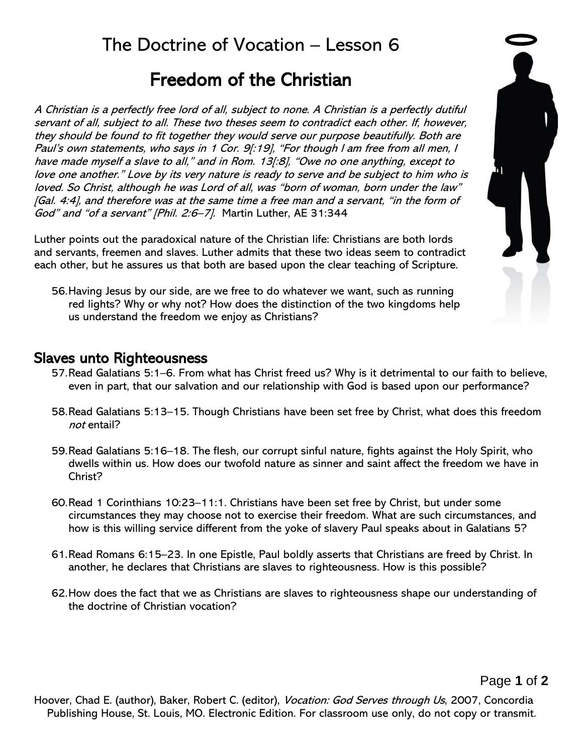## The Doctrine of Vocation – Lesson 6

# Freedom of the Christian

A Christian is a perfectly free lord of all, subject to none. A Christian is a perfectly dutiful servant of all, subject to all. These two theses seem to contradict each other. If, however, they should be found to fit together they would serve our purpose beautifully. Both are Paul's own statements, who says in 1 Cor. 9[:19], "For though I am free from all men, I have made myself a slave to all," and in Rom. 13[:8], "Owe no one anything, except to love one another." Love by its very nature is ready to serve and be subject to him who is loved. So Christ, although he was Lord of all, was "born of woman, born under the law" [Gal. 4:4], and therefore was at the same time a free man and a servant, "in the form of God" and "of a servant" [Phil. 2:6-7]. Martin Luther, AE 31:344

Luther points out the paradoxical nature of the Christian life: Christians are both lords and servants, freemen and slaves. Luther admits that these two ideas seem to contradict each other, but he assures us that both are based upon the clear teaching of Scripture.

56.Having Jesus by our side, are we free to do whatever we want, such as running red lights? Why or why not? How does the distinction of the two kingdoms help us understand the freedom we enjoy as Christians?

### Slaves unto Righteousness

- 57.Read Galatians 5:1–6. From what has Christ freed us? Why is it detrimental to our faith to believe, even in part, that our salvation and our relationship with God is based upon our performance?
- 58.Read Galatians 5:13–15. Though Christians have been set free by Christ, what does this freedom not entail?
- 59.Read Galatians 5:16–18. The flesh, our corrupt sinful nature, fights against the Holy Spirit, who dwells within us. How does our twofold nature as sinner and saint affect the freedom we have in Christ?
- 60.Read 1 Corinthians 10:23–11:1. Christians have been set free by Christ, but under some circumstances they may choose not to exercise their freedom. What are such circumstances, and how is this willing service different from the yoke of slavery Paul speaks about in Galatians 5?
- 61.Read Romans 6:15–23. In one Epistle, Paul boldly asserts that Christians are freed by Christ. In another, he declares that Christians are slaves to righteousness. How is this possible?
- 62.How does the fact that we as Christians are slaves to righteousness shape our understanding of the doctrine of Christian vocation?